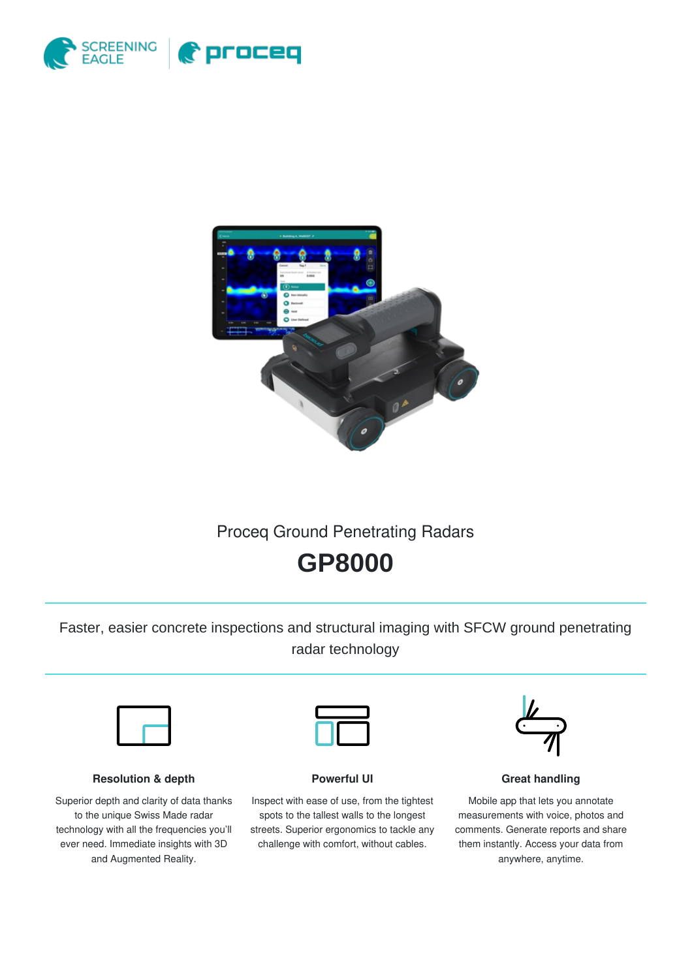



# Proceq Ground Penetrating Radars

# **GP8000**

Faster, easier concrete inspections and structural imaging with SFCW ground penetrating radar technology



#### **Resolution & depth**

Superior depth and clarity of data thanks to the unique Swiss Made radar technology with all the frequencies you'll ever need. Immediate insights with 3D and Augmented Reality.



#### **Powerful UI**

Inspect with ease of use, from the tightest spots to the tallest walls to the longest streets. Superior ergonomics to tackle any challenge with comfort, without cables.



#### **Great handling**

Mobile app that lets you annotate measurements with voice, photos and comments. Generate reports and share them instantly. Access your data from anywhere, anytime.